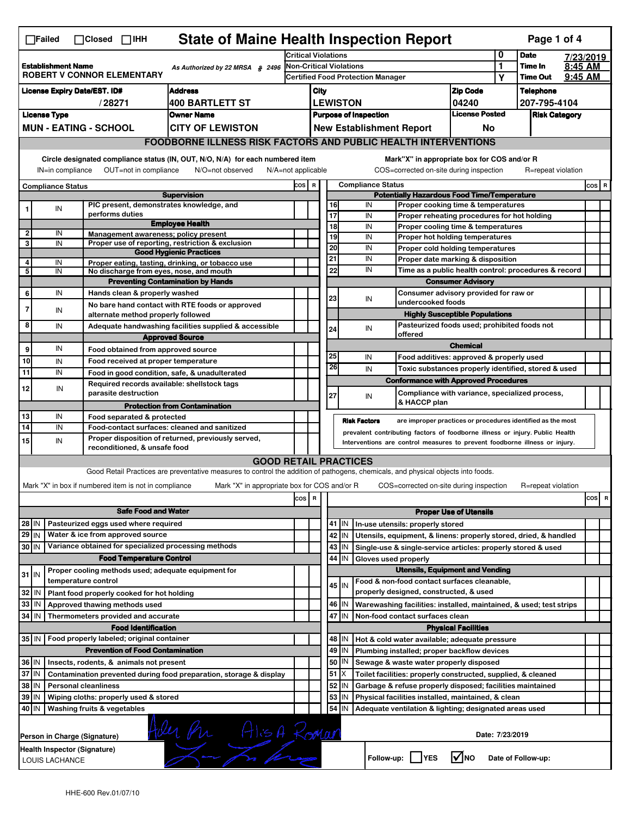| <b>State of Maine Health Inspection Report</b><br>Page 1 of 4<br>$\Box$ Failed<br>$\Box$ IHH<br>$\Box$ Closed                 |                                                                                                          |                                                                                          |                                                                                                                                   |                                                                     |                            |          |                  |                                                                                                        |                                       |                      |                            |                      |           |  |  |  |
|-------------------------------------------------------------------------------------------------------------------------------|----------------------------------------------------------------------------------------------------------|------------------------------------------------------------------------------------------|-----------------------------------------------------------------------------------------------------------------------------------|---------------------------------------------------------------------|----------------------------|----------|------------------|--------------------------------------------------------------------------------------------------------|---------------------------------------|----------------------|----------------------------|----------------------|-----------|--|--|--|
| <b>Establishment Name</b><br>As Authorized by 22 MRSA § 2496<br><b>ROBERT V CONNOR ELEMENTARY</b>                             |                                                                                                          |                                                                                          |                                                                                                                                   | Critical Violations                                                 |                            |          |                  |                                                                                                        |                                       | 0                    | <b>Date</b>                |                      | 7/23/2019 |  |  |  |
|                                                                                                                               |                                                                                                          |                                                                                          |                                                                                                                                   | <b>Non-Critical Violations</b><br>Certified Food Protection Manager |                            |          |                  |                                                                                                        |                                       | 1<br>Y               | Time In<br><b>Time Out</b> | 8:45 AM<br>$9:45$ AM |           |  |  |  |
| <b>Address</b><br><b>License Expiry Date/EST. ID#</b>                                                                         |                                                                                                          |                                                                                          |                                                                                                                                   |                                                                     | City                       |          |                  |                                                                                                        | <b>Zip Code</b>                       |                      | <b>Telephone</b>           |                      |           |  |  |  |
| 400 BARTLETT ST<br>/28271                                                                                                     |                                                                                                          |                                                                                          |                                                                                                                                   |                                                                     |                            |          |                  |                                                                                                        | 04240                                 |                      | 207-795-4104               |                      |           |  |  |  |
| <b>License Type</b><br><b>Owner Name</b>                                                                                      |                                                                                                          |                                                                                          | <b>LEWISTON</b><br><b>License Posted</b><br><b>Purpose of Inspection</b>                                                          |                                                                     |                            |          |                  |                                                                                                        |                                       | <b>Risk Category</b> |                            |                      |           |  |  |  |
| <b>MUN - EATING - SCHOOL</b><br><b>CITY OF LEWISTON</b>                                                                       |                                                                                                          |                                                                                          |                                                                                                                                   | <b>New Establishment Report</b><br>No                               |                            |          |                  |                                                                                                        |                                       |                      |                            |                      |           |  |  |  |
|                                                                                                                               |                                                                                                          |                                                                                          | <b>FOODBORNE ILLNESS RISK FACTORS AND PUBLIC HEALTH INTERVENTIONS</b>                                                             |                                                                     |                            |          |                  |                                                                                                        |                                       |                      |                            |                      |           |  |  |  |
| Circle designated compliance status (IN, OUT, N/O, N/A) for each numbered item<br>Mark"X" in appropriate box for COS and/or R |                                                                                                          |                                                                                          |                                                                                                                                   |                                                                     |                            |          |                  |                                                                                                        |                                       |                      |                            |                      |           |  |  |  |
|                                                                                                                               | OUT=not in compliance<br>N/O=not observed<br>N/A=not applicable<br>IN=in compliance                      |                                                                                          |                                                                                                                                   |                                                                     |                            |          |                  | COS=corrected on-site during inspection                                                                |                                       |                      | R=repeat violation         |                      |           |  |  |  |
| <b>Compliance Status</b>                                                                                                      |                                                                                                          |                                                                                          | <b>Compliance Status</b><br>COS R                                                                                                 |                                                                     |                            |          |                  |                                                                                                        |                                       |                      |                            | COS R                |           |  |  |  |
|                                                                                                                               |                                                                                                          |                                                                                          | <b>Supervision</b>                                                                                                                |                                                                     |                            |          |                  | <b>Potentially Hazardous Food Time/Temperature</b>                                                     |                                       |                      |                            |                      |           |  |  |  |
|                                                                                                                               | IN                                                                                                       | PIC present, demonstrates knowledge, and<br>performs duties                              |                                                                                                                                   |                                                                     |                            | 16<br>17 |                  | IN<br>Proper cooking time & temperatures<br>IN<br>Proper reheating procedures for hot holding          |                                       |                      |                            |                      |           |  |  |  |
|                                                                                                                               |                                                                                                          |                                                                                          | <b>Employee Health</b>                                                                                                            |                                                                     |                            | 18       |                  | IN<br>Proper cooling time & temperatures                                                               |                                       |                      |                            |                      |           |  |  |  |
| 2                                                                                                                             | IN                                                                                                       | Management awareness; policy present                                                     |                                                                                                                                   |                                                                     |                            | 19       |                  | IN<br>Proper hot holding temperatures                                                                  |                                       |                      |                            |                      |           |  |  |  |
| 3                                                                                                                             | IN                                                                                                       |                                                                                          | Proper use of reporting, restriction & exclusion<br><b>Good Hygienic Practices</b>                                                |                                                                     |                            | 20       |                  | IN<br>Proper cold holding temperatures                                                                 |                                       |                      |                            |                      |           |  |  |  |
| 4                                                                                                                             | IN                                                                                                       |                                                                                          | Proper eating, tasting, drinking, or tobacco use                                                                                  |                                                                     |                            | 21       |                  | IN<br>Proper date marking & disposition<br>IN                                                          |                                       |                      |                            |                      |           |  |  |  |
| 5                                                                                                                             | IN<br>No discharge from eyes, nose, and mouth<br><b>Preventing Contamination by Hands</b>                |                                                                                          |                                                                                                                                   |                                                                     |                            | 22       |                  | Time as a public health control: procedures & record<br><b>Consumer Advisory</b>                       |                                       |                      |                            |                      |           |  |  |  |
| 6                                                                                                                             | IN                                                                                                       | Hands clean & properly washed                                                            |                                                                                                                                   |                                                                     |                            |          |                  | Consumer advisory provided for raw or                                                                  |                                       |                      |                            |                      |           |  |  |  |
|                                                                                                                               |                                                                                                          |                                                                                          | No bare hand contact with RTE foods or approved                                                                                   |                                                                     |                            | 23       |                  | IN<br>undercooked foods                                                                                |                                       |                      |                            |                      |           |  |  |  |
| 7                                                                                                                             | IN                                                                                                       | alternate method properly followed                                                       |                                                                                                                                   |                                                                     |                            |          |                  |                                                                                                        | <b>Highly Susceptible Populations</b> |                      |                            |                      |           |  |  |  |
| 8                                                                                                                             | IN                                                                                                       |                                                                                          | Adequate handwashing facilities supplied & accessible                                                                             |                                                                     |                            | 24       |                  | Pasteurized foods used; prohibited foods not<br>IN                                                     |                                       |                      |                            |                      |           |  |  |  |
|                                                                                                                               |                                                                                                          |                                                                                          | <b>Approved Source</b>                                                                                                            |                                                                     |                            |          |                  | offered                                                                                                | <b>Chemical</b>                       |                      |                            |                      |           |  |  |  |
| 9                                                                                                                             | IN                                                                                                       | Food obtained from approved source                                                       |                                                                                                                                   |                                                                     |                            | 25       |                  | IN<br>Food additives: approved & properly used                                                         |                                       |                      |                            |                      |           |  |  |  |
| 10<br>11                                                                                                                      | IN<br>IN                                                                                                 | Food received at proper temperature                                                      |                                                                                                                                   |                                                                     |                            | 26       |                  | IN<br>Toxic substances properly identified, stored & used                                              |                                       |                      |                            |                      |           |  |  |  |
|                                                                                                                               |                                                                                                          | Required records available: shellstock tags                                              | Food in good condition, safe, & unadulterated                                                                                     |                                                                     |                            |          |                  | <b>Conformance with Approved Procedures</b>                                                            |                                       |                      |                            |                      |           |  |  |  |
| 12                                                                                                                            | IN                                                                                                       | parasite destruction                                                                     |                                                                                                                                   |                                                                     |                            | 27       |                  | Compliance with variance, specialized process,<br>IN                                                   |                                       |                      |                            |                      |           |  |  |  |
|                                                                                                                               |                                                                                                          |                                                                                          | <b>Protection from Contamination</b>                                                                                              |                                                                     |                            |          |                  | & HACCP plan                                                                                           |                                       |                      |                            |                      |           |  |  |  |
| 13                                                                                                                            | IN                                                                                                       | Food separated & protected                                                               |                                                                                                                                   |                                                                     |                            |          |                  | <b>Risk Factors</b><br>are improper practices or procedures identified as the most                     |                                       |                      |                            |                      |           |  |  |  |
| 14                                                                                                                            | IN<br>Food-contact surfaces: cleaned and sanitized<br>Proper disposition of returned, previously served, |                                                                                          |                                                                                                                                   |                                                                     |                            |          |                  | prevalent contributing factors of foodborne illness or injury. Public Health                           |                                       |                      |                            |                      |           |  |  |  |
| 15<br>IN<br>reconditioned, & unsafe food                                                                                      |                                                                                                          |                                                                                          |                                                                                                                                   |                                                                     |                            |          |                  | Interventions are control measures to prevent foodborne illness or injury.                             |                                       |                      |                            |                      |           |  |  |  |
|                                                                                                                               |                                                                                                          |                                                                                          | <b>GOOD RETAIL PRACTICES</b>                                                                                                      |                                                                     |                            |          |                  |                                                                                                        |                                       |                      |                            |                      |           |  |  |  |
|                                                                                                                               |                                                                                                          |                                                                                          | Good Retail Practices are preventative measures to control the addition of pathogens, chemicals, and physical objects into foods. |                                                                     |                            |          |                  |                                                                                                        |                                       |                      |                            |                      |           |  |  |  |
|                                                                                                                               |                                                                                                          | Mark "X" in box if numbered item is not in compliance                                    | Mark "X" in appropriate box for COS and/or R                                                                                      |                                                                     |                            |          |                  | COS=corrected on-site during inspection                                                                |                                       |                      | R=repeat violation         |                      |           |  |  |  |
|                                                                                                                               |                                                                                                          |                                                                                          |                                                                                                                                   |                                                                     | $\mathbf R$<br>cos         |          |                  |                                                                                                        |                                       |                      |                            |                      | cos<br>R  |  |  |  |
| <b>Safe Food and Water</b>                                                                                                    |                                                                                                          |                                                                                          |                                                                                                                                   |                                                                     |                            |          |                  | <b>Proper Use of Utensils</b>                                                                          |                                       |                      |                            |                      |           |  |  |  |
| Pasteurized eggs used where required<br>28 IN                                                                                 |                                                                                                          |                                                                                          |                                                                                                                                   |                                                                     |                            |          | 41 J IN          | In-use utensils: properly stored                                                                       |                                       |                      |                            |                      |           |  |  |  |
| 29 IN<br>30 IN                                                                                                                |                                                                                                          | Water & ice from approved source<br>Variance obtained for specialized processing methods |                                                                                                                                   |                                                                     |                            | 42       | IN               | Utensils, equipment, & linens: properly stored, dried, & handled                                       |                                       |                      |                            |                      |           |  |  |  |
|                                                                                                                               |                                                                                                          | <b>Food Temperature Control</b>                                                          |                                                                                                                                   |                                                                     |                            | 44       | $43$   IN<br>IN  | Single-use & single-service articles: properly stored & used<br>Gloves used properly                   |                                       |                      |                            |                      |           |  |  |  |
|                                                                                                                               |                                                                                                          | Proper cooling methods used; adequate equipment for                                      |                                                                                                                                   |                                                                     |                            |          |                  | <b>Utensils, Equipment and Vending</b>                                                                 |                                       |                      |                            |                      |           |  |  |  |
| $31$ IN                                                                                                                       |                                                                                                          | temperature control                                                                      |                                                                                                                                   |                                                                     |                            |          | 45 IN            | Food & non-food contact surfaces cleanable,                                                            |                                       |                      |                            |                      |           |  |  |  |
| 32 IN                                                                                                                         |                                                                                                          | Plant food properly cooked for hot holding                                               |                                                                                                                                   |                                                                     |                            |          |                  | properly designed, constructed, & used                                                                 |                                       |                      |                            |                      |           |  |  |  |
|                                                                                                                               |                                                                                                          | Approved thawing methods used                                                            |                                                                                                                                   |                                                                     |                            |          | 46   IN          | Warewashing facilities: installed, maintained, & used; test strips                                     |                                       |                      |                            |                      |           |  |  |  |
| 33 IN                                                                                                                         |                                                                                                          | 34 IN<br>Thermometers provided and accurate                                              |                                                                                                                                   |                                                                     |                            |          | 47<br>IN         | Non-food contact surfaces clean                                                                        |                                       |                      |                            |                      |           |  |  |  |
|                                                                                                                               |                                                                                                          |                                                                                          |                                                                                                                                   |                                                                     | <b>Physical Facilities</b> |          |                  |                                                                                                        |                                       |                      |                            |                      |           |  |  |  |
|                                                                                                                               |                                                                                                          | <b>Food Identification</b>                                                               |                                                                                                                                   |                                                                     |                            |          |                  |                                                                                                        |                                       |                      |                            |                      |           |  |  |  |
|                                                                                                                               |                                                                                                          | 35 IN   Food properly labeled; original container                                        |                                                                                                                                   |                                                                     |                            |          | 48   IN          | Hot & cold water available; adequate pressure                                                          |                                       |                      |                            |                      |           |  |  |  |
| 36 IN                                                                                                                         |                                                                                                          | <b>Prevention of Food Contamination</b>                                                  |                                                                                                                                   |                                                                     |                            |          | 49 IN<br>50   IN | Plumbing installed; proper backflow devices                                                            |                                       |                      |                            |                      |           |  |  |  |
| 37 IN                                                                                                                         |                                                                                                          | Insects, rodents, & animals not present                                                  | Contamination prevented during food preparation, storage & display                                                                |                                                                     |                            | 51       | ΙX               | Sewage & waste water properly disposed<br>Toilet facilities: properly constructed, supplied, & cleaned |                                       |                      |                            |                      |           |  |  |  |
| 38 IN                                                                                                                         |                                                                                                          | <b>Personal cleanliness</b>                                                              |                                                                                                                                   |                                                                     |                            | 52       | IN               | Garbage & refuse properly disposed; facilities maintained                                              |                                       |                      |                            |                      |           |  |  |  |
| 39 IN                                                                                                                         |                                                                                                          | Wiping cloths: properly used & stored                                                    |                                                                                                                                   |                                                                     |                            | 53       | IN               | Physical facilities installed, maintained, & clean                                                     |                                       |                      |                            |                      |           |  |  |  |
| 40 IN                                                                                                                         |                                                                                                          | Washing fruits & vegetables                                                              |                                                                                                                                   |                                                                     |                            | 54       | IN               | Adequate ventilation & lighting; designated areas used                                                 |                                       |                      |                            |                      |           |  |  |  |
|                                                                                                                               |                                                                                                          |                                                                                          |                                                                                                                                   |                                                                     |                            |          |                  |                                                                                                        |                                       |                      |                            |                      |           |  |  |  |
|                                                                                                                               |                                                                                                          | Person in Charge (Signature)                                                             |                                                                                                                                   |                                                                     |                            |          |                  |                                                                                                        | Date: 7/23/2019                       |                      |                            |                      |           |  |  |  |
|                                                                                                                               | LOUIS LACHANCE                                                                                           | Health Inspector (Signature)                                                             | ler Pri Alis A Roman                                                                                                              |                                                                     |                            |          |                  | Follow-up:  <br><b>YES</b>                                                                             | l√lno                                 |                      | Date of Follow-up:         |                      |           |  |  |  |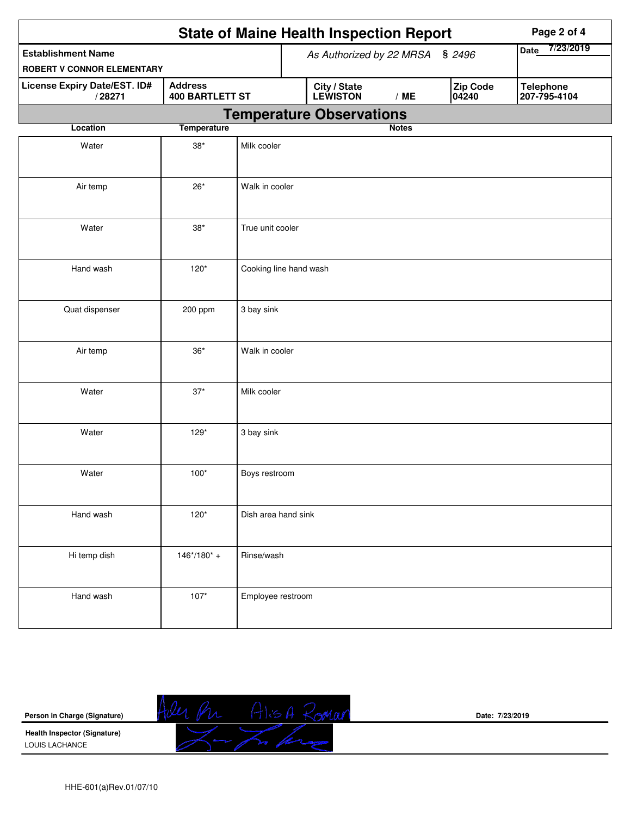| <b>State of Maine Health Inspection Report</b><br>Page 2 of 4                      |                    |                        |  |                                 |              |                          |                                  |  |
|------------------------------------------------------------------------------------|--------------------|------------------------|--|---------------------------------|--------------|--------------------------|----------------------------------|--|
| <b>Establishment Name</b>                                                          |                    |                        |  | As Authorized by 22 MRSA § 2496 |              | 7/23/2019<br><b>Date</b> |                                  |  |
| ROBERT V CONNOR ELEMENTARY                                                         |                    |                        |  |                                 |              |                          |                                  |  |
| License Expiry Date/EST. ID#<br><b>Address</b><br><b>400 BARTLETT ST</b><br>/28271 |                    |                        |  | City / State<br>LEWISTON        | /ME          | <b>Zip Code</b><br>04240 | <b>Telephone</b><br>207-795-4104 |  |
|                                                                                    |                    |                        |  | <b>Temperature Observations</b> |              |                          |                                  |  |
| Location                                                                           | <b>Temperature</b> |                        |  |                                 | <b>Notes</b> |                          |                                  |  |
| Water                                                                              | $38^{\ast}$        | Milk cooler            |  |                                 |              |                          |                                  |  |
| Air temp                                                                           | $26*$              | Walk in cooler         |  |                                 |              |                          |                                  |  |
| Water                                                                              | $38*$              | True unit cooler       |  |                                 |              |                          |                                  |  |
| Hand wash                                                                          | $120*$             | Cooking line hand wash |  |                                 |              |                          |                                  |  |
| Quat dispenser                                                                     | 200 ppm            | 3 bay sink             |  |                                 |              |                          |                                  |  |
| Air temp                                                                           | $36*$              | Walk in cooler         |  |                                 |              |                          |                                  |  |
| Water                                                                              | $37*$              | Milk cooler            |  |                                 |              |                          |                                  |  |
| Water                                                                              | 129*               | 3 bay sink             |  |                                 |              |                          |                                  |  |
| Water                                                                              | $100*$             | Boys restroom          |  |                                 |              |                          |                                  |  |
| Hand wash                                                                          | $120*$             | Dish area hand sink    |  |                                 |              |                          |                                  |  |
| Hi temp dish                                                                       | $146*/180* +$      | Rinse/wash             |  |                                 |              |                          |                                  |  |
| Hand wash                                                                          | $107*$             | Employee restroom      |  |                                 |              |                          |                                  |  |

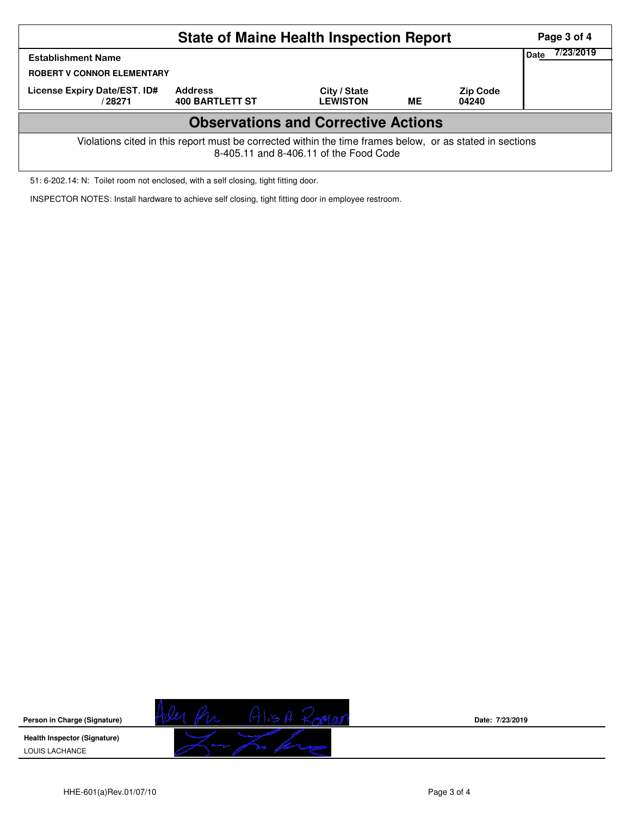|                                                                                                                                                    |                                          | Page 3 of 4                     |           |                          |      |           |  |  |
|----------------------------------------------------------------------------------------------------------------------------------------------------|------------------------------------------|---------------------------------|-----------|--------------------------|------|-----------|--|--|
| <b>Establishment Name</b><br><b>ROBERT V CONNOR ELEMENTARY</b>                                                                                     |                                          |                                 |           |                          | Date | 7/23/2019 |  |  |
| License Expiry Date/EST. ID#<br>/28271                                                                                                             | <b>Address</b><br><b>400 BARTLETT ST</b> | City / State<br><b>LEWISTON</b> | <b>ME</b> | <b>Zip Code</b><br>04240 |      |           |  |  |
| <b>Observations and Corrective Actions</b>                                                                                                         |                                          |                                 |           |                          |      |           |  |  |
| Violations cited in this report must be corrected within the time frames below, or as stated in sections<br>8-405.11 and 8-406.11 of the Food Code |                                          |                                 |           |                          |      |           |  |  |

51: 6-202.14: N: Toilet room not enclosed, with a self closing, tight fitting door.

INSPECTOR NOTES: Install hardware to achieve self closing, tight fitting door in employee restroom.

**Person in Charge (Signature) Health Inspector (Signature)**  LOUIS LACHANCE



**Date: 7/23/2019**